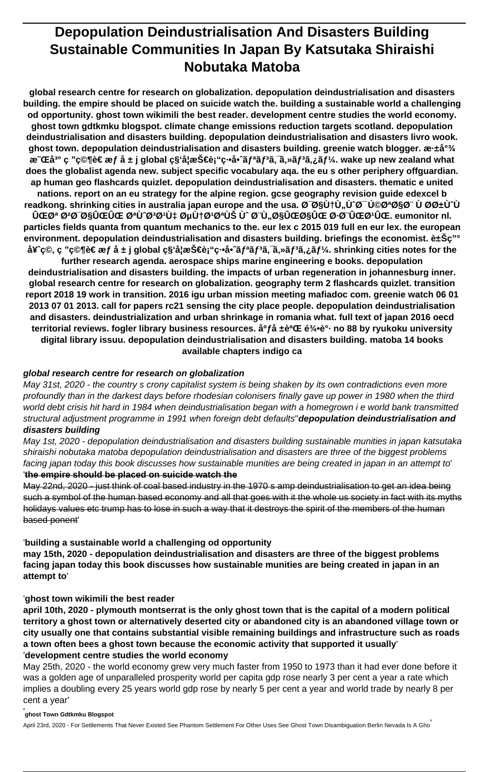# **Depopulation Deindustrialisation And Disasters Building Sustainable Communities In Japan By Katsutaka Shiraishi Nobutaka Matoba**

**global research centre for research on globalization. depopulation deindustrialisation and disasters building. the empire should be placed on suicide watch the. building a sustainable world a challenging od opportunity. ghost town wikimili the best reader. development centre studies the world economy. ghost town gdtkmku blogspot. climate change emissions reduction targets scotland. depopulation deindustrialisation and disasters building. depopulation deindustrialisation and disasters livro wook.** ghost town. depopulation deindustrialisation and disasters building. greenie watch blogger. æ-±å<sup>°3</sup>/4 æ **CEå<sup>3</sup>° c "c©¶è€ æf å ± j global c§'妿Š€è**¡"c⋅•å•^ã fªã f<sup>3</sup>ã, ¯ã,»ã f<sup>3</sup>ã,¿ã f¼. wake up new zealand what **does the globalist agenda new. subject specific vocabulary aqa. the eu s other periphery offguardian. ap human geo flashcards quizlet. depopulation deindustrialisation and disasters. thematic e united nations. report on an eu strategy for the alpine region. gcse geography revision guide edexcel b** readkong. shrinking cities in australia japan europe and the usa. Ø Ø§Ù†Ù, Ù Ø Ú ØØªØ§Ø¨ Ù ØØ±Ù Ù **یت غدایی توتتÙ‡ صنتتÙŠ Ùˆ بÙ..ایاÛŒ Ø⋅بیتÛŒ. eumonitor nl. particles fields quanta from quantum mechanics to the. eur lex c 2015 019 full en eur lex. the european** environment. depopulation deindustrialisation and disasters building. briefings the economist. 豊ç<sup>"</sup>° å¥<sup>-</sup>c©, c "c©¶è€ æf å ± j global c§ʻ妿Š€è¡"c.•啈ãfªãf<sup>3</sup>ã,¯ã,»ãf<sup>3</sup>ã,¿ãf¼. shrinking cities notes for the

**further research agenda. aerospace ships marine engineering e books. depopulation deindustrialisation and disasters building. the impacts of urban regeneration in johannesburg inner. global research centre for research on globalization. geography term 2 flashcards quizlet. transition report 2018 19 work in transition. 2016 igu urban mission meeting mafiadoc com. greenie watch 06 01 2013 07 01 2013. call for papers rc21 sensing the city place people. depopulation deindustrialisation and disasters. deindustrialization and urban shrinkage in romania what. full text of japan 2016 oecd** territorial reviews. fogler library business resources. å<sup>o</sup>f å ±è<sup>a</sup>Œ 龕è°· no 88 by ryukoku university **digital library issuu. depopulation deindustrialisation and disasters building. matoba 14 books available chapters indigo ca**

#### **global research centre for research on globalization**

May 31st, 2020 - the country s crony capitalist system is being shaken by its own contradictions even more profoundly than in the darkest days before rhodesian colonisers finally gave up power in 1980 when the third world debt crisis hit hard in 1984 when deindustrialisation began with a homegrown i e world bank transmitted structural adjustment programme in 1991 when foreign debt defaults''**depopulation deindustrialisation and disasters building**

May 1st, 2020 - depopulation deindustrialisation and disasters building sustainable munities in japan katsutaka shiraishi nobutaka matoba depopulation deindustrialisation and disasters are three of the biggest problems facing japan today this book discusses how sustainable munities are being created in japan in an attempt to'

#### '**the empire should be placed on suicide watch the**

May 22nd, 2020 - just think of coal based industry in the 1970 s amp deindustrialisation to get an idea being such a symbol of the human based economy and all that goes with it the whole us society in fact with its myths holidays values etc trump has to lose in such a way that it destroys the spirit of the members of the human based ponent'

'**building a sustainable world a challenging od opportunity**

**may 15th, 2020 - depopulation deindustrialisation and disasters are three of the biggest problems facing japan today this book discusses how sustainable munities are being created in japan in an attempt to**'

#### '**ghost town wikimili the best reader**

**april 10th, 2020 - plymouth montserrat is the only ghost town that is the capital of a modern political territory a ghost town or alternatively deserted city or abandoned city is an abandoned village town or city usually one that contains substantial visible remaining buildings and infrastructure such as roads a town often bees a ghost town because the economic activity that supported it usually**' '**development centre studies the world economy**

May 25th, 2020 - the world economy grew very much faster from 1950 to 1973 than it had ever done before it was a golden age of unparalleled prosperity world per capita gdp rose nearly 3 per cent a year a rate which implies a doubling every 25 years world gdp rose by nearly 5 per cent a year and world trade by nearly 8 per cent a year'

#### '**ghost Town Gdtkmku Blogspot**

April 23rd, 2020 - For Settlements That Never Existed See Phantom Settlement For Other Uses See Ghost Town Disambiguation Berlin Nevada Is A Gho'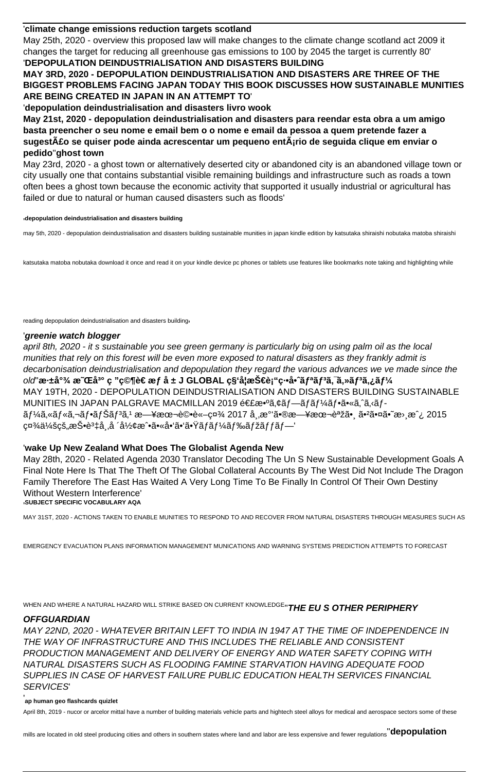#### '**climate change emissions reduction targets scotland**

May 25th, 2020 - overview this proposed law will make changes to the climate change scotland act 2009 it changes the target for reducing all greenhouse gas emissions to 100 by 2045 the target is currently 80' '**DEPOPULATION DEINDUSTRIALISATION AND DISASTERS BUILDING**

**MAY 3RD, 2020 - DEPOPULATION DEINDUSTRIALISATION AND DISASTERS ARE THREE OF THE BIGGEST PROBLEMS FACING JAPAN TODAY THIS BOOK DISCUSSES HOW SUSTAINABLE MUNITIES ARE BEING CREATED IN JAPAN IN AN ATTEMPT TO**'

'**depopulation deindustrialisation and disasters livro wook**

**May 21st, 2020 - depopulation deindustrialisation and disasters para reendar esta obra a um amigo basta preencher o seu nome e email bem o o nome e email da pessoa a quem pretende fazer a sugestão se quiser pode ainda acrescentar um pequeno entário de seguida clique em enviar o pedido**''**ghost town**

May 23rd, 2020 - a ghost town or alternatively deserted city or abandoned city is an abandoned village town or city usually one that contains substantial visible remaining buildings and infrastructure such as roads a town often bees a ghost town because the economic activity that supported it usually industrial or agricultural has failed or due to natural or human caused disasters such as floods'

#### '**depopulation deindustrialisation and disasters building**

may 5th, 2020 - depopulation deindustrialisation and disasters building sustainable munities in japan kindle edition by katsutaka shiraishi nobutaka matoba shiraishi

katsutaka matoba nobutaka download it once and read it on your kindle device pc phones or tablets use features like bookmarks note taking and highlighting while

reading depopulation deindustrialisation and disasters building'

#### '**greenie watch blogger**

april 8th, 2020 - it s sustainable you see green germany is particularly big on using palm oil as the local munities that rely on this forest will be even more exposed to natural disasters as they frankly admit is decarbonisation deindustrialisation and depopulation they regard the various advances we ve made since the old'深尾 æ~CEå<sup>з</sup>° ç "ç©¶è€ æ*f å* ± J GLOBAL ç§ʻ妿Š€è¡"ç⋅•啈リリã,<sup>ร</sup>ã,»ãƒªã,¿ãƒ¼ MAY 19TH, 2020 - DEPOPULATION DEINDUSTRIALISATION AND DISASTERS BUILDING SUSTAINABLE MUNITIES IN JAPAN PALGRAVE MACMILLAN 2019 連敺ã,¢ãf—ãfãf¼ãf•ã•«ã,^ã,‹ãf- $\tilde{a}f$ ¼ã,«ã $f$ Nj,‹ $f$ •ã $f$ Šã $f$ <sup>3</sup>ã,1 日本è©•è«-社 2017 å,,æ $^{\circ}$ '㕮日本語㕸 㕲㕤ã•~æ $^{\circ}$ æ $^{\circ}$ ¿ 2015  $c$ ¤¾ä¼š $c$ š"投è ${}^{3}\sharp$ å "å ´å½¢æˆ•ã•«å•'ã•'㕟ã $f$ ã $f$ ¼ã $f$ ‰ã $f$ žã $f$ fã $f$ —'

#### '**wake Up New Zealand What Does The Globalist Agenda New**

May 28th, 2020 - Related Agenda 2030 Translator Decoding The Un S New Sustainable Development Goals A Final Note Here Is That The Theft Of The Global Collateral Accounts By The West Did Not Include The Dragon Family Therefore The East Has Waited A Very Long Time To Be Finally In Control Of Their Own Destiny Without Western Interference' '**SUBJECT SPECIFIC VOCABULARY AQA**

MAY 31ST, 2020 - ACTIONS TAKEN TO ENABLE MUNITIES TO RESPOND TO AND RECOVER FROM NATURAL DISASTERS THROUGH MEASURES SUCH AS

EMERGENCY EVACUATION PLANS INFORMATION MANAGEMENT MUNICATIONS AND WARNING SYSTEMS PREDICTION ATTEMPTS TO FORECAST

WHEN AND WHERE A NATURAL HAZARD WILL STRIKE BASED ON CURRENT KNOWLEDGE''**THE EU S OTHER PERIPHERY**

#### **OFFGUARDIAN**

MAY 22ND, 2020 - WHATEVER BRITAIN LEFT TO INDIA IN 1947 AT THE TIME OF INDEPENDENCE IN THE WAY OF INFRASTRUCTURE AND THIS INCLUDES THE RELIABLE AND CONSISTENT PRODUCTION MANAGEMENT AND DELIVERY OF ENERGY AND WATER SAFETY COPING WITH NATURAL DISASTERS SUCH AS FLOODING FAMINE STARVATION HAVING ADEQUATE FOOD SUPPLIES IN CASE OF HARVEST FAILURE PUBLIC EDUCATION HEALTH SERVICES FINANCIAL SERVICES'

#### **ap human geo flashcards quizlet**

April 8th, 2019 - nucor or arcelor mittal have a number of building materials vehicle parts and hightech steel alloys for medical and aerospace sectors some of these

mills are located in old steel producing cities and others in southern states where land and labor are less expensive and fewer regulations''**depopulation**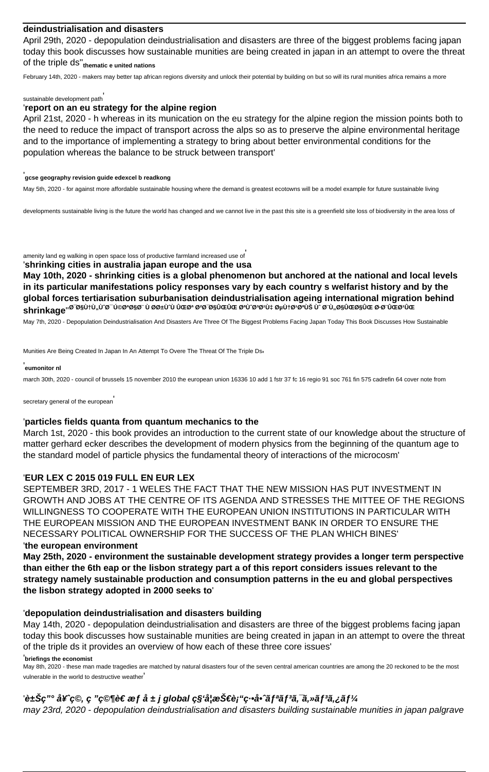#### **deindustrialisation and disasters**

April 29th, 2020 - depopulation deindustrialisation and disasters are three of the biggest problems facing japan today this book discusses how sustainable munities are being created in japan in an attempt to overe the threat of the triple ds''**thematic e united nations**

February 14th, 2020 - makers may better tap african regions diversity and unlock their potential by building on but so will its rural munities africa remains a more

#### sustainable development path'

#### '**report on an eu strategy for the alpine region**

April 21st, 2020 - h whereas in its munication on the eu strategy for the alpine region the mission points both to the need to reduce the impact of transport across the alps so as to preserve the alpine environmental heritage and to the importance of implementing a strategy to bring about better environmental conditions for the population whereas the balance to be struck between transport'

#### '**gcse geography revision guide edexcel b readkong**

May 5th, 2020 - for against more affordable sustainable housing where the demand is greatest ecotowns will be a model example for future sustainable living

developments sustainable living is the future the world has changed and we cannot live in the past this site is a greenfield site loss of biodiversity in the area loss of

amenity land eg walking in open space loss of productive farmland increased use of'

#### '**shrinking cities in australia japan europe and the usa**

**May 10th, 2020 - shrinking cities is a global phenomenon but anchored at the national and local levels in its particular manifestations policy responses vary by each country s welfarist history and by the global forces tertiarisation suburbanisation deindustrialisation ageing international migration behind** shrinkage''<sup>ø־ø§ù</sup>†ù"ù^ø<sup>−</sup>ú©øªø§ø¨ ù øø±ùˆù ûœøª øªø־ø§ûœûœ øªù øªøʰù‡ øµù†øªøªùš ùˆ ø¨ù"ø§ûœø§ûœ ø ø¨ûœøªûœ

May 7th, 2020 - Depopulation Deindustrialisation And Disasters Are Three Of The Biggest Problems Facing Japan Today This Book Discusses How Sustainable

Munities Are Being Created In Japan In An Attempt To Overe The Threat Of The Triple Ds'

#### '**eumonitor nl**

march 30th, 2020 - council of brussels 15 november 2010 the european union 16336 10 add 1 fstr 37 fc 16 regio 91 soc 761 fin 575 cadrefin 64 cover note from

secretary general of the european

#### '**particles fields quanta from quantum mechanics to the**

March 1st, 2020 - this book provides an introduction to the current state of our knowledge about the structure of matter gerhard ecker describes the development of modern physics from the beginning of the quantum age to the standard model of particle physics the fundamental theory of interactions of the microcosm'

#### '**EUR LEX C 2015 019 FULL EN EUR LEX**

SEPTEMBER 3RD, 2017 - 1 WELES THE FACT THAT THE NEW MISSION HAS PUT INVESTMENT IN GROWTH AND JOBS AT THE CENTRE OF ITS AGENDA AND STRESSES THE MITTEE OF THE REGIONS WILLINGNESS TO COOPERATE WITH THE EUROPEAN UNION INSTITUTIONS IN PARTICULAR WITH THE EUROPEAN MISSION AND THE EUROPEAN INVESTMENT BANK IN ORDER TO ENSURE THE NECESSARY POLITICAL OWNERSHIP FOR THE SUCCESS OF THE PLAN WHICH BINES'

#### '**the european environment**

**May 25th, 2020 - environment the sustainable development strategy provides a longer term perspective than either the 6th eap or the lisbon strategy part a of this report considers issues relevant to the strategy namely sustainable production and consumption patterns in the eu and global perspectives the lisbon strategy adopted in 2000 seeks to**'

#### '**depopulation deindustrialisation and disasters building**

May 14th, 2020 - depopulation deindustrialisation and disasters are three of the biggest problems facing japan today this book discusses how sustainable munities are being created in japan in an attempt to overe the threat of the triple ds it provides an overview of how each of these three core issues'

'**briefings the economist**

May 8th, 2020 - these man made tragedies are matched by natural disasters four of the seven central american countries are among the 20 reckoned to be the most vulnerable in the world to destructive weather'

#### '豊ç"° å¥^ç©, ç "ç©¶è€ æ*f å* ± j global ç§'妿Š€è¡"ç∙•å•^リリã,¯ã,»ãƒªã,¿ãƒ¼

may 23rd, 2020 - depopulation deindustrialisation and disasters building sustainable munities in japan palgrave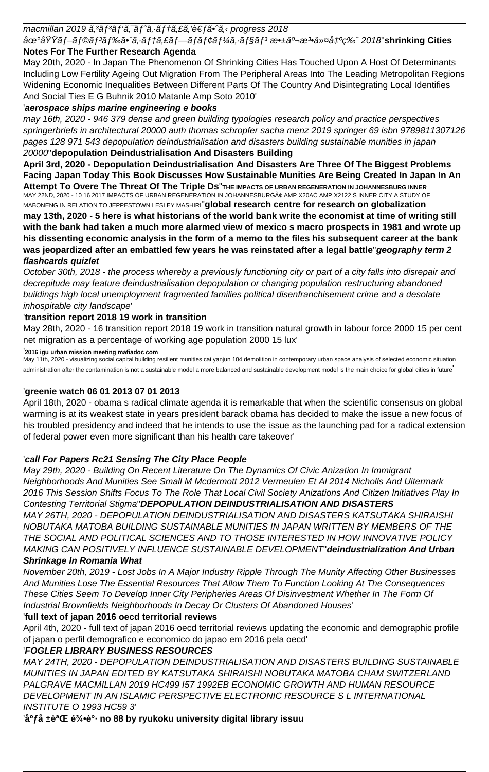macmillan 2019  $\tilde{a}$ ,  $3\tilde{a}$  f $3\tilde{a}$  f' $\tilde{a}$ ,  $\tilde{a}$  f' $\tilde{a}$ ,  $\tilde{a}$ , ft $\tilde{a}$ ,  $\tilde{e}$  f $\tilde{a}$   $\tilde{e}$  f $\tilde{a}$   $\tilde{a}$ ,  $\tilde{a}$  progress 2018

地域ブラãƒ<sup>з</sup>ドã∙¨ã,∙テã,£ãƒ—ãƒãƒ¢ãƒ¼ã,∙ョãƒ<sup>3</sup> æ∙±äº¬æ¾ä»¤å‡ºç‰ˆ2018'shrinking Cities **Notes For The Further Research Agenda**

May 20th, 2020 - In Japan The Phenomenon Of Shrinking Cities Has Touched Upon A Host Of Determinants Including Low Fertility Ageing Out Migration From The Peripheral Areas Into The Leading Metropolitan Regions Widening Economic Inequalities Between Different Parts Of The Country And Disintegrating Local Identifies And Social Ties E G Buhnik 2010 Matanle Amp Soto 2010'

## '**aerospace ships marine engineering e books**

may 16th, 2020 - 946 379 dense and green building typologies research policy and practice perspectives springerbriefs in architectural 20000 auth thomas schropfer sacha menz 2019 springer 69 isbn 9789811307126 pages 128 971 543 depopulation deindustrialisation and disasters building sustainable munities in japan 20000''**depopulation Deindustrialisation And Disasters Building**

**April 3rd, 2020 - Depopulation Deindustrialisation And Disasters Are Three Of The Biggest Problems Facing Japan Today This Book Discusses How Sustainable Munities Are Being Created In Japan In An Attempt To Overe The Threat Of The Triple Ds**''**THE IMPACTS OF URBAN REGENERATION IN JOHANNESBURG INNER** MAY 22ND, 2020 - 10 16 2017 IMPACTS OF URBAN REGENERATION IN JOHANNESBURGâ AMP X20AC AMP X2122 S INNER CITY A STUDY OF MABONENG IN RELATION TO JEPPESTOWN LESLEY MASHIRI''**global research centre for research on globalization may 13th, 2020 - 5 here is what historians of the world bank write the economist at time of writing still with the bank had taken a much more alarmed view of mexico s macro prospects in 1981 and wrote up his dissenting economic analysis in the form of a memo to the files his subsequent career at the bank was jeopardized after an embattled few years he was reinstated after a legal battle**''**geography term 2 flashcards quizlet**

#### October 30th, 2018 - the process whereby a previously functioning city or part of a city falls into disrepair and decrepitude may feature deindustrialisation depopulation or changing population restructuring abandoned buildings high local unemployment fragmented families political disenfranchisement crime and a desolate inhospitable city landscape'

### '**transition report 2018 19 work in transition**

May 28th, 2020 - 16 transition report 2018 19 work in transition natural growth in labour force 2000 15 per cent net migration as a percentage of working age population 2000 15 lux'

'**2016 igu urban mission meeting mafiadoc com**

May 11th, 2020 - visualizing social capital building resilient munities cai yanjun 104 demolition in contemporary urban space analysis of selected economic situation administration after the contamination is not a sustainable model a more balanced and sustainable development model is the main choice for global cities in future

### '**greenie watch 06 01 2013 07 01 2013**

April 18th, 2020 - obama s radical climate agenda it is remarkable that when the scientific consensus on global warming is at its weakest state in years president barack obama has decided to make the issue a new focus of his troubled presidency and indeed that he intends to use the issue as the launching pad for a radical extension of federal power even more significant than his health care takeover'

### '**call For Papers Rc21 Sensing The City Place People**

May 29th, 2020 - Building On Recent Literature On The Dynamics Of Civic Anization In Immigrant Neighborhoods And Munities See Small M Mcdermott 2012 Vermeulen Et Al 2014 Nicholls And Uitermark 2016 This Session Shifts Focus To The Role That Local Civil Society Anizations And Citizen Initiatives Play In Contesting Territorial Stigma''**DEPOPULATION DEINDUSTRIALISATION AND DISASTERS**

MAY 26TH, 2020 - DEPOPULATION DEINDUSTRIALISATION AND DISASTERS KATSUTAKA SHIRAISHI NOBUTAKA MATOBA BUILDING SUSTAINABLE MUNITIES IN JAPAN WRITTEN BY MEMBERS OF THE THE SOCIAL AND POLITICAL SCIENCES AND TO THOSE INTERESTED IN HOW INNOVATIVE POLICY MAKING CAN POSITIVELY INFLUENCE SUSTAINABLE DEVELOPMENT''**deindustrialization And Urban Shrinkage In Romania What**

November 20th, 2019 - Lost Jobs In A Major Industry Ripple Through The Munity Affecting Other Businesses And Munities Lose The Essential Resources That Allow Them To Function Looking At The Consequences These Cities Seem To Develop Inner City Peripheries Areas Of Disinvestment Whether In The Form Of Industrial Brownfields Neighborhoods In Decay Or Clusters Of Abandoned Houses'

### '**full text of japan 2016 oecd territorial reviews**

April 4th, 2020 - full text of japan 2016 oecd territorial reviews updating the economic and demographic profile of japan o perfil demografico e economico do japao em 2016 pela oecd'

### '**FOGLER LIBRARY BUSINESS RESOURCES**

MAY 24TH, 2020 - DEPOPULATION DEINDUSTRIALISATION AND DISASTERS BUILDING SUSTAINABLE MUNITIES IN JAPAN EDITED BY KATSUTAKA SHIRAISHI NOBUTAKA MATOBA CHAM SWITZERLAND PALGRAVE MACMILLAN 2019 HC499 I57 1992EB ECONOMIC GROWTH AND HUMAN RESOURCE DEVELOPMENT IN AN ISLAMIC PERSPECTIVE ELECTRONIC RESOURCE S L INTERNATIONAL INSTITUTE O 1993 HC59 3'

<sup>'</sup>å<sup>o</sup>få ±è<sup>a</sup>Œ 龕è°· no 88 by ryukoku university digital library issuu